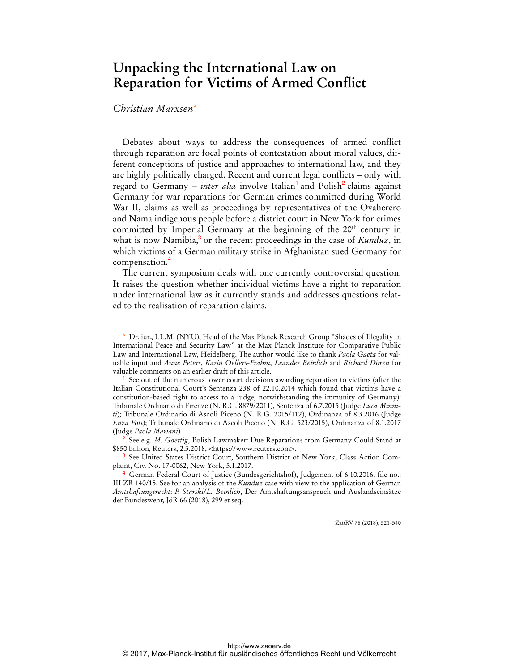# **Unpacking the International Law on Reparation for Victims of Armed Conflict**

*Christian Marxsen*\*

 $\overline{a}$ 

Debates about ways to address the consequences of armed conflict through reparation are focal points of contestation about moral values, different conceptions of justice and approaches to international law, and they are highly politically charged. Recent and current legal conflicts – only with regard to Germany – *inter alia* involve Italian<sup>1</sup> and Polish<sup>2</sup> claims against Germany for war reparations for German crimes committed during World War II, claims as well as proceedings by representatives of the Ovaherero and Nama indigenous people before a district court in New York for crimes committed by Imperial Germany at the beginning of the 20<sup>th</sup> century in what is now Namibia,<sup>3</sup> or the recent proceedings in the case of *Kunduz*, in which victims of a German military strike in Afghanistan sued Germany for compensation.<sup>4</sup>

The current symposium deals with one currently controversial question. It raises the question whether individual victims have a right to reparation under international law as it currently stands and addresses questions related to the realisation of reparation claims.

ZaöRV 78 (2018), 521-540

Dr. iur., LL.M. (NYU), Head of the Max Planck Research Group "Shades of Illegality in International Peace and Security Law" at the Max Planck Institute for Comparative Public Law and International Law, Heidelberg. The author would like to thank *Paola Gaeta* for valuable input and *Anne Peters*, *Karin Oellers-Frahm*, *Leander Beinlich* and *Richard Dören* for valuable comments on an earlier draft of this article.

See out of the numerous lower court decisions awarding reparation to victims (after the Italian Constitutional Court's Sentenza 238 of 22.10.2014 which found that victims have a constitution-based right to access to a judge, notwithstanding the immunity of Germany): Tribunale Ordinario di Firenze (N. R.G. 8879/2011), Sentenza of 6.7.2015 (Judge *Luca Minniti*); Tribunale Ordinario di Ascoli Piceno (N. R.G. 2015/112), Ordinanza of 8.3.2016 (Judge *Enza Foti*); Tribunale Ordinario di Ascoli Piceno (N. R.G. 523/2015), Ordinanza of 8.1.2017 (Judge *Paola Mariani*).

<sup>2</sup> See e.g. *M. Goettig*, Polish Lawmaker: Due Reparations from Germany Could Stand at \$850 billion, Reuters, 2.3.2018, <https://www.reuters.com>.

<sup>&</sup>lt;sup>3</sup> See United States District Court, Southern District of New York, Class Action Complaint, Civ. No. 17-0062, New York, 5.1.2017.

<sup>4</sup> German Federal Court of Justice (Bundesgerichtshof), Judgement of 6.10.2016, file no.: III ZR 140/15. See for an analysis of the *Kunduz* case with view to the application of German *Amtshaftungsrecht*: *P. Starski/L. Beinlich*, Der Amtshaftungsanspruch und Auslandseinsätze der Bundeswehr, JöR 66 (2018), 299 et seq.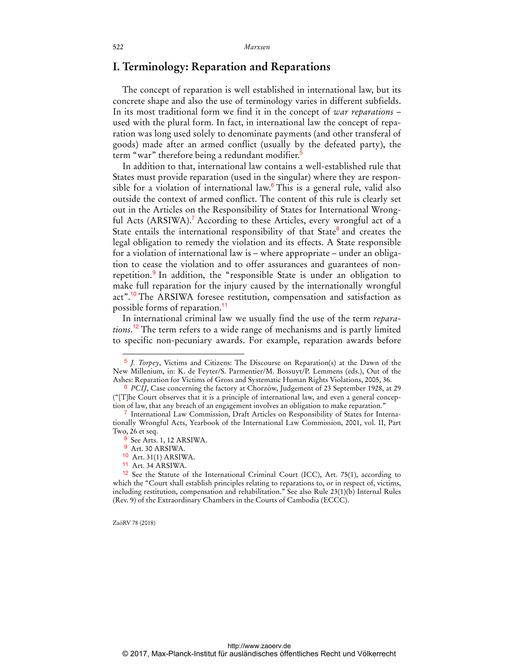### **I. Terminology: Reparation and Reparations**

The concept of reparation is well established in international law, but its concrete shape and also the use of terminology varies in different subfields. In its most traditional form we find it in the concept of *war reparations –*  used with the plural form. In fact, in international law the concept of reparation was long used solely to denominate payments (and other transferal of goods) made after an armed conflict (usually by the defeated party), the term "war" therefore being a redundant modifier.<sup>5</sup>

In addition to that, international law contains a well-established rule that States must provide reparation (used in the singular) where they are responsible for a violation of international law.<sup>6</sup> This is a general rule, valid also outside the context of armed conflict. The content of this rule is clearly set out in the Articles on the Responsibility of States for International Wrongful Acts (ARSIWA).<sup>7</sup> According to these Articles, every wrongful act of a State entails the international responsibility of that State<sup>8</sup> and creates the legal obligation to remedy the violation and its effects. A State responsible for a violation of international law is – where appropriate – under an obligation to cease the violation and to offer assurances and guarantees of nonrepetition.<sup>9</sup> In addition, the "responsible State is under an obligation to make full reparation for the injury caused by the internationally wrongful act".<sup>10</sup> The ARSIWA foresee restitution, compensation and satisfaction as possible forms of reparation.<sup>11</sup>

In international criminal law we usually find the use of the term *reparations*. <sup>12</sup> The term refers to a wide range of mechanisms and is partly limited to specific non-pecuniary awards. For example, reparation awards before

ZaöRV 78 (2018)

 $\ddot{ }$ 

<sup>5</sup> *J. Torpey*, Victims and Citizens: The Discourse on Reparation(s) at the Dawn of the New Millenium, in: K. de Feyter/S. Parmentier/M. Bossuyt/P. Lemmens (eds.), Out of the Ashes: Reparation for Victims of Gross and Systematic Human Rights Violations, 2005, 36.

<sup>6</sup> *PCIJ*, Case concerning the factory at Chorzów, Judgement of 23 September 1928, at 29 ("[T]he Court observes that it is a principle of international law, and even a general conception of law, that any breach of an engagement involves an obligation to make reparation."

<sup>7</sup> International Law Commission, Draft Articles on Responsibility of States for Internationally Wrongful Acts, Yearbook of the International Law Commission, 2001, vol. II, Part Two, 26 et seq.

<sup>8</sup> See Arts. 1, 12 ARSIWA.

<sup>9</sup> Art. 30 ARSIWA.

<sup>10</sup> Art. 31(1) ARSIWA.

<sup>11</sup> Art. 34 ARSIWA.

<sup>&</sup>lt;sup>12</sup> See the Statute of the International Criminal Court (ICC), Art. 75(1), according to which the "Court shall establish principles relating to reparations to, or in respect of, victims, including restitution, compensation and rehabilitation." See also Rule 23(1)(b) Internal Rules (Rev. 9) of the Extraordinary Chambers in the Courts of Cambodia (ECCC).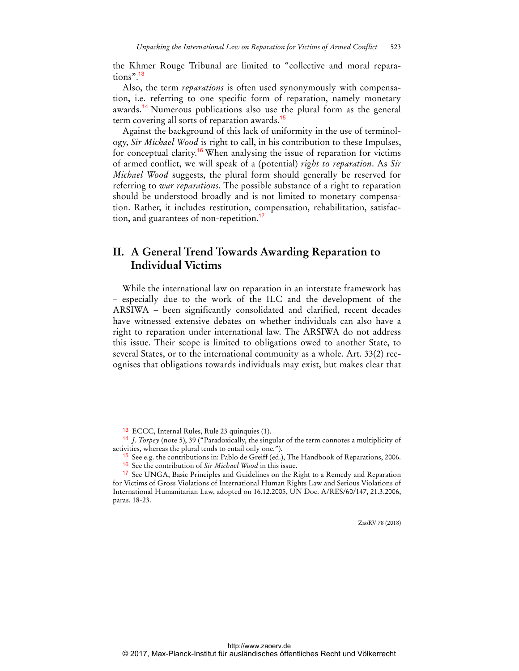the Khmer Rouge Tribunal are limited to "collective and moral repara $tions"$ <sup>13</sup>

Also, the term *reparations* is often used synonymously with compensation, i.e. referring to one specific form of reparation, namely monetary awards.<sup>14</sup> Numerous publications also use the plural form as the general term covering all sorts of reparation awards.<sup>15</sup>

Against the background of this lack of uniformity in the use of terminology, *Sir Michael Wood* is right to call, in his contribution to these Impulses, for conceptual clarity.<sup>16</sup> When analysing the issue of reparation for victims of armed conflict, we will speak of a (potential) *right to reparation*. As *Sir Michael Wood* suggests, the plural form should generally be reserved for referring to *war reparations*. The possible substance of a right to reparation should be understood broadly and is not limited to monetary compensation. Rather, it includes restitution, compensation, rehabilitation, satisfaction, and guarantees of non-repetition.<sup>17</sup>

# **II. A General Trend Towards Awarding Reparation to Individual Victims**

While the international law on reparation in an interstate framework has – especially due to the work of the ILC and the development of the ARSIWA – been significantly consolidated and clarified, recent decades have witnessed extensive debates on whether individuals can also have a right to reparation under international law. The ARSIWA do not address this issue. Their scope is limited to obligations owed to another State, to several States, or to the international community as a whole. Art. 33(2) recognises that obligations towards individuals may exist, but makes clear that

 $\overline{a}$ 

<sup>&</sup>lt;sup>13</sup> ECCC, Internal Rules, Rule 23 quinquies (1).

<sup>14</sup> *J. Torpey* (note 5), 39 ("Paradoxically, the singular of the term connotes a multiplicity of activities, whereas the plural tends to entail only one.").

<sup>15</sup> See e.g. the contributions in: Pablo de Greiff (ed.), The Handbook of Reparations, 2006.

<sup>16</sup> See the contribution of *Sir Michael Wood* in this issue.

<sup>17</sup> See UNGA, Basic Principles and Guidelines on the Right to a Remedy and Reparation for Victims of Gross Violations of International Human Rights Law and Serious Violations of International Humanitarian Law, adopted on 16.12.2005, UN Doc. A/RES/60/147, 21.3.2006, paras. 18-23.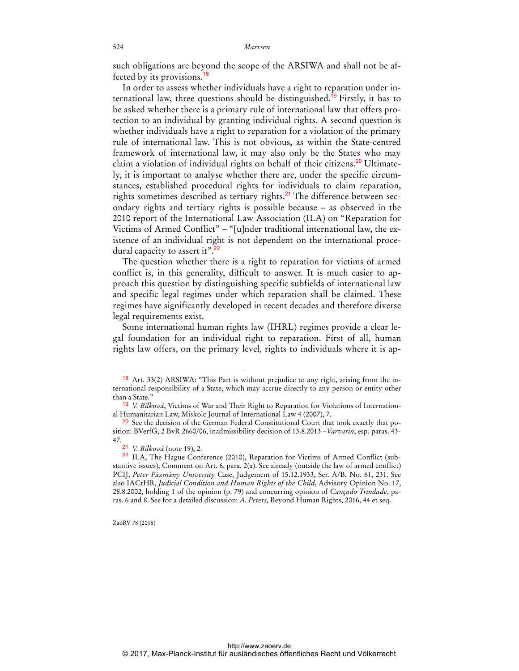such obligations are beyond the scope of the ARSIWA and shall not be affected by its provisions.<sup>18</sup>

In order to assess whether individuals have a right to reparation under international law, three questions should be distinguished.<sup>19</sup> Firstly, it has to be asked whether there is a primary rule of international law that offers protection to an individual by granting individual rights. A second question is whether individuals have a right to reparation for a violation of the primary rule of international law. This is not obvious, as within the State-centred framework of international law, it may also only be the States who may claim a violation of individual rights on behalf of their citizens.<sup>20</sup> Ultimately, it is important to analyse whether there are, under the specific circumstances, established procedural rights for individuals to claim reparation, rights sometimes described as tertiary rights.<sup>21</sup> The difference between secondary rights and tertiary rights is possible because – as observed in the 2010 report of the International Law Association (ILA) on "Reparation for Victims of Armed Conflict" – "[u]nder traditional international law, the existence of an individual right is not dependent on the international procedural capacity to assert it".<sup>22</sup>

The question whether there is a right to reparation for victims of armed conflict is, in this generality, difficult to answer. It is much easier to approach this question by distinguishing specific subfields of international law and specific legal regimes under which reparation shall be claimed. These regimes have significantly developed in recent decades and therefore diverse legal requirements exist.

Some international human rights law (IHRL) regimes provide a clear legal foundation for an individual right to reparation. First of all, human rights law offers, on the primary level, rights to individuals where it is ap-

ZaöRV 78 (2018)

<sup>18</sup> Art. 33(2) ARSIWA: "This Part is without prejudice to any right, arising from the international responsibility of a State, which may accrue directly to any person or entity other than a State."

<sup>19</sup> *V. Bílková*, Victims of War and Their Right to Reparation for Violations of International Humanitarian Law, Miskolc Journal of International Law 4 (2007), 7.

<sup>&</sup>lt;sup>20</sup> See the decision of the German Federal Constitutional Court that took exactly that position: BVerfG, 2 BvR 2660/06, inadmissibility decision of 13.8.2013 –*Varvarin*, esp. paras. 43- 47.

<sup>21</sup> *V. Bílková* (note 19), 2.

<sup>22</sup> ILA, The Hague Conference (2010), Reparation for Victims of Armed Conflict (substantive issues), Comment on Art. 6, para. 2(a). See already (outside the law of armed conflict) PCIJ, *Peter Pàzmàny University* Case, Judgement of 15.12.1933, Ser. A/B, No. 61, 231. See also IACtHR, *Judicial Condition and Human Rights of the Child*, Advisory Opinion No. 17, 28.8.2002, holding 1 of the opinion (p. 79) and concurring opinion of *Cançado Trindade*, paras. 6 and 8. See for a detailed discussion: *A. Peters*, Beyond Human Rights, 2016, 44 et seq.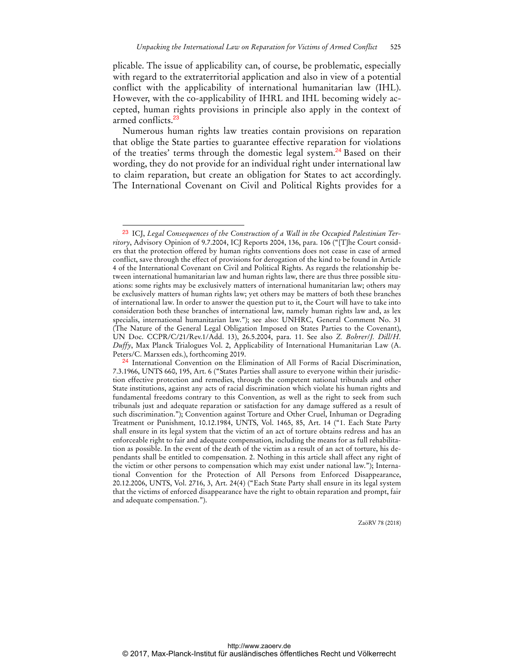plicable. The issue of applicability can, of course, be problematic, especially with regard to the extraterritorial application and also in view of a potential conflict with the applicability of international humanitarian law (IHL). However, with the co-applicability of IHRL and IHL becoming widely accepted, human rights provisions in principle also apply in the context of armed conflicts.<sup>23</sup>

Numerous human rights law treaties contain provisions on reparation that oblige the State parties to guarantee effective reparation for violations of the treaties' terms through the domestic legal system.<sup>24</sup> Based on their wording, they do not provide for an individual right under international law to claim reparation, but create an obligation for States to act accordingly. The International Covenant on Civil and Political Rights provides for a

 $\overline{a}$ 

<sup>23</sup> ICJ, *Legal Consequences of the Construction of a Wall in the Occupied Palestinian Territory*, Advisory Opinion of 9.7.2004, ICJ Reports 2004, 136, para. 106 ("[T]he Court considers that the protection offered by human rights conventions does not cease in case of armed conflict, save through the effect of provisions for derogation of the kind to be found in Article 4 of the International Covenant on Civil and Political Rights. As regards the relationship between international humanitarian law and human rights law, there are thus three possible situations: some rights may be exclusively matters of international humanitarian law; others may be exclusively matters of human rights law; yet others may be matters of both these branches of international law. In order to answer the question put to it, the Court will have to take into consideration both these branches of international law, namely human rights law and, as lex specialis, international humanitarian law."); see also: UNHRC, General Comment No. 31 (The Nature of the General Legal Obligation Imposed on States Parties to the Covenant), UN Doc. CCPR/C/21/Rev.1/Add. 13), 26.5.2004, para. 11. See also *Z. Bohrer*/*J. Dill*/*H. Duffy*, Max Planck Trialogues Vol. 2, Applicability of International Humanitarian Law (A. Peters/C. Marxsen eds.), forthcoming 2019.

<sup>&</sup>lt;sup>24</sup> International Convention on the Elimination of All Forms of Racial Discrimination, 7.3.1966, UNTS 660, 195, Art. 6 ("States Parties shall assure to everyone within their jurisdiction effective protection and remedies, through the competent national tribunals and other State institutions, against any acts of racial discrimination which violate his human rights and fundamental freedoms contrary to this Convention, as well as the right to seek from such tribunals just and adequate reparation or satisfaction for any damage suffered as a result of such discrimination."); Convention against Torture and Other Cruel, Inhuman or Degrading Treatment or Punishment, 10.12.1984, UNTS, Vol. 1465, 85, Art. 14 ("1. Each State Party shall ensure in its legal system that the victim of an act of torture obtains redress and has an enforceable right to fair and adequate compensation, including the means for as full rehabilitation as possible. In the event of the death of the victim as a result of an act of torture, his dependants shall be entitled to compensation. 2. Nothing in this article shall affect any right of the victim or other persons to compensation which may exist under national law."); International Convention for the Protection of All Persons from Enforced Disappearance, 20.12.2006, UNTS, Vol. 2716, 3, Art. 24(4) ("Each State Party shall ensure in its legal system that the victims of enforced disappearance have the right to obtain reparation and prompt, fair and adequate compensation.").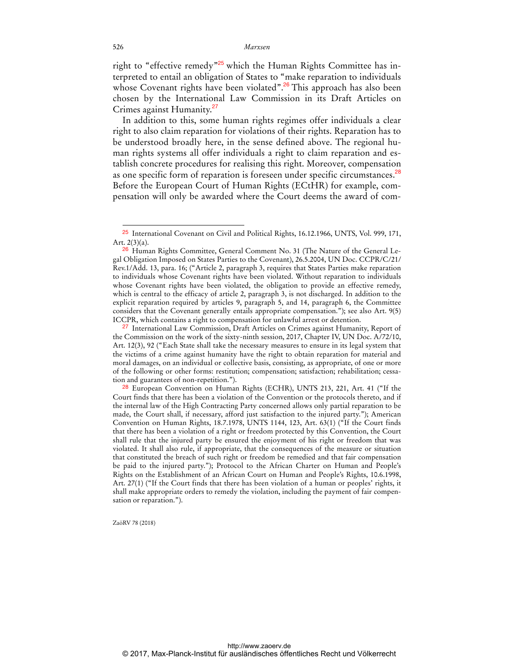right to "effective remedy"<sup>25</sup> which the Human Rights Committee has interpreted to entail an obligation of States to "make reparation to individuals whose Covenant rights have been violated".<sup>26</sup> This approach has also been chosen by the International Law Commission in its Draft Articles on Crimes against Humanity.<sup>27</sup>

In addition to this, some human rights regimes offer individuals a clear right to also claim reparation for violations of their rights. Reparation has to be understood broadly here, in the sense defined above. The regional human rights systems all offer individuals a right to claim reparation and establish concrete procedures for realising this right. Moreover, compensation as one specific form of reparation is foreseen under specific circumstances.<sup>28</sup> Before the European Court of Human Rights (ECtHR) for example, compensation will only be awarded where the Court deems the award of com-

28 European Convention on Human Rights (ECHR), UNTS 213, 221, Art. 41 ("If the Court finds that there has been a violation of the Convention or the protocols thereto, and if the internal law of the High Contracting Party concerned allows only partial reparation to be made, the Court shall, if necessary, afford just satisfaction to the injured party."); American Convention on Human Rights, 18.7.1978, UNTS 1144, 123, Art. 63(1) ("If the Court finds that there has been a violation of a right or freedom protected by this Convention, the Court shall rule that the injured party be ensured the enjoyment of his right or freedom that was violated. It shall also rule, if appropriate, that the consequences of the measure or situation that constituted the breach of such right or freedom be remedied and that fair compensation be paid to the injured party."); Protocol to the African Charter on Human and People's Rights on the Establishment of an African Court on Human and People's Rights, 10.6.1998, Art. 27(1) ("If the Court finds that there has been violation of a human or peoples' rights, it shall make appropriate orders to remedy the violation, including the payment of fair compensation or reparation.").

ZaöRV 78 (2018)

<sup>25</sup> International Covenant on Civil and Political Rights, 16.12.1966, UNTS, Vol. 999, 171, Art. 2(3)(a).

<sup>&</sup>lt;sup>26</sup> Human Rights Committee, General Comment No. 31 (The Nature of the General Legal Obligation Imposed on States Parties to the Covenant), 26.5.2004, UN Doc. CCPR/C/21/ Rev.1/Add. 13, para. 16; ("Article 2, paragraph 3, requires that States Parties make reparation to individuals whose Covenant rights have been violated. Without reparation to individuals whose Covenant rights have been violated, the obligation to provide an effective remedy, which is central to the efficacy of article 2, paragraph 3, is not discharged. In addition to the explicit reparation required by articles 9, paragraph 5, and 14, paragraph 6, the Committee considers that the Covenant generally entails appropriate compensation."); see also Art. 9(5) ICCPR, which contains a right to compensation for unlawful arrest or detention.

<sup>&</sup>lt;sup>27</sup> International Law Commission, Draft Articles on Crimes against Humanity, Report of the Commission on the work of the sixty-ninth session, 2017, Chapter IV, UN Doc. A/72/10, Art. 12(3), 92 ("Each State shall take the necessary measures to ensure in its legal system that the victims of a crime against humanity have the right to obtain reparation for material and moral damages, on an individual or collective basis, consisting, as appropriate, of one or more of the following or other forms: restitution; compensation; satisfaction; rehabilitation; cessation and guarantees of non-repetition.").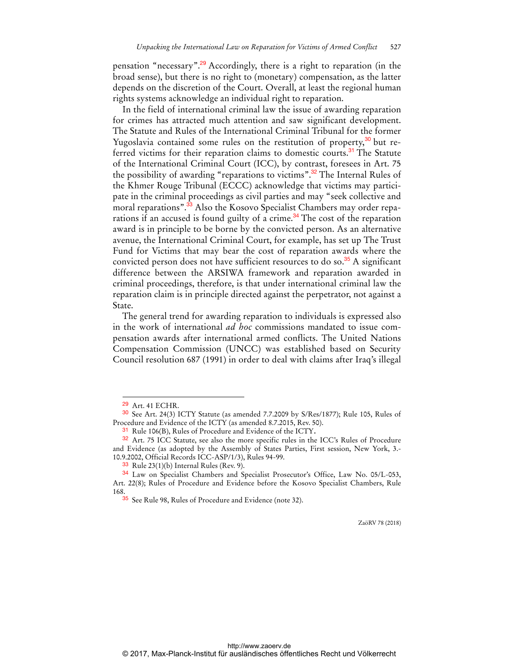pensation "necessary".<sup>29</sup> Accordingly, there is a right to reparation (in the broad sense), but there is no right to (monetary) compensation, as the latter depends on the discretion of the Court. Overall, at least the regional human rights systems acknowledge an individual right to reparation.

In the field of international criminal law the issue of awarding reparation for crimes has attracted much attention and saw significant development. The Statute and Rules of the International Criminal Tribunal for the former Yugoslavia contained some rules on the restitution of property, $30$  but referred victims for their reparation claims to domestic courts.<sup>31</sup> The Statute of the International Criminal Court (ICC), by contrast, foresees in Art. 75 the possibility of awarding "reparations to victims".<sup>32</sup> The Internal Rules of the Khmer Rouge Tribunal (ECCC) acknowledge that victims may participate in the criminal proceedings as civil parties and may "seek collective and moral reparations".<sup>33</sup> Also the Kosovo Specialist Chambers may order reparations if an accused is found guilty of a crime. $34$  The cost of the reparation award is in principle to be borne by the convicted person. As an alternative avenue, the International Criminal Court, for example, has set up The Trust Fund for Victims that may bear the cost of reparation awards where the convicted person does not have sufficient resources to do so. $35$  A significant difference between the ARSIWA framework and reparation awarded in criminal proceedings, therefore, is that under international criminal law the reparation claim is in principle directed against the perpetrator, not against a State.

The general trend for awarding reparation to individuals is expressed also in the work of international *ad hoc* commissions mandated to issue compensation awards after international armed conflicts. The United Nations Compensation Commission (UNCC) was established based on Security Council resolution 687 (1991) in order to deal with claims after Iraq's illegal

 $\overline{a}$ 

<sup>29</sup> Art. 41 ECHR.

<sup>30</sup> See Art. 24(3) ICTY Statute (as amended 7.7.2009 by S/Res/1877); Rule 105, Rules of Procedure and Evidence of the ICTY (as amended 8.7.2015, Rev. 50).

<sup>&</sup>lt;sup>31</sup> Rule 106(B), Rules of Procedure and Evidence of the ICTY.

<sup>&</sup>lt;sup>32</sup> Art. 75 ICC Statute, see also the more specific rules in the ICC's Rules of Procedure and Evidence (as adopted by the Assembly of States Parties, First session, New York, 3.- 10.9.2002, Official Records ICC-ASP/1/3), Rules 94-99.

 $33$  Rule 23(1)(b) Internal Rules (Rev. 9).

<sup>34</sup> Law on Specialist Chambers and Specialist Prosecutor's Office, Law No. 05/L-053, Art. 22(8); Rules of Procedure and Evidence before the Kosovo Specialist Chambers, Rule 168.

<sup>35</sup> See Rule 98, Rules of Procedure and Evidence (note 32).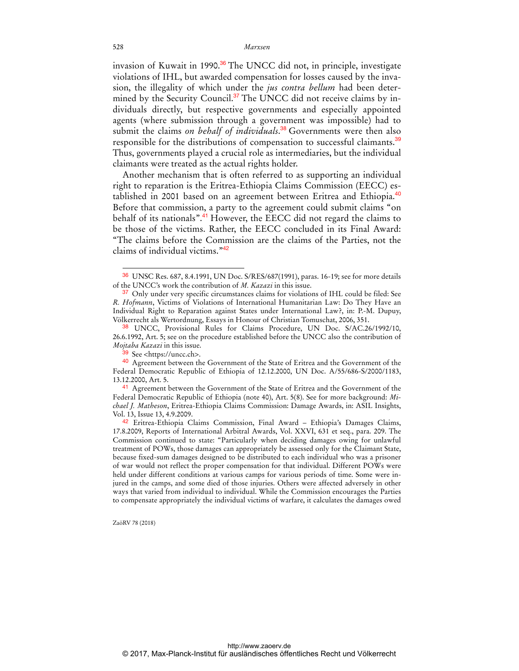invasion of Kuwait in 1990.<sup>36</sup> The UNCC did not, in principle, investigate violations of IHL, but awarded compensation for losses caused by the invasion, the illegality of which under the *jus contra bellum* had been determined by the Security Council.<sup>37</sup> The UNCC did not receive claims by individuals directly, but respective governments and especially appointed agents (where submission through a government was impossible) had to submit the claims *on behalf of individuals*. <sup>38</sup> Governments were then also responsible for the distributions of compensation to successful claimants.<sup>39</sup> Thus, governments played a crucial role as intermediaries, but the individual claimants were treated as the actual rights holder.

Another mechanism that is often referred to as supporting an individual right to reparation is the Eritrea-Ethiopia Claims Commission (EECC) established in 2001 based on an agreement between Eritrea and Ethiopia.<sup>40</sup> Before that commission, a party to the agreement could submit claims "on behalf of its nationals".<sup>41</sup> However, the EECC did not regard the claims to be those of the victims. Rather, the EECC concluded in its Final Award: "The claims before the Commission are the claims of the Parties, not the claims of individual victims."<sup>42</sup>

ZaöRV 78 (2018)

<sup>36</sup> UNSC Res. 687, 8.4.1991, UN Doc. S/RES/687(1991), paras. 16-19; see for more details of the UNCC's work the contribution of *M. Kazazi* in this issue.

<sup>&</sup>lt;sup>37</sup> Only under very specific circumstances claims for violations of IHL could be filed: See *R. Hofmann*, Victims of Violations of International Humanitarian Law: Do They Have an Individual Right to Reparation against States under International Law?, in: P.-M. Dupuy, Völkerrecht als Wertordnung, Essays in Honour of Christian Tomuschat, 2006, 351.

<sup>38</sup> UNCC, Provisional Rules for Claims Procedure, UN Doc. S/AC.26/1992/10, 26.6.1992, Art. 5; see on the procedure established before the UNCC also the contribution of *Mojtaba Kazazi* in this issue.

<sup>39</sup> See <https://uncc.ch>.

<sup>40</sup> Agreement between the Government of the State of Eritrea and the Government of the Federal Democratic Republic of Ethiopia of 12.12.2000, UN Doc. A/55/686-S/2000/1183, 13.12.2000, Art. 5.

<sup>41</sup> Agreement between the Government of the State of Eritrea and the Government of the Federal Democratic Republic of Ethiopia (note 40), Art. 5(8). See for more background: *Michael J. Matheson*, Eritrea-Ethiopia Claims Commission: Damage Awards, in: ASIL Insights, Vol. 13, Issue 13, 4.9.2009.

 $42$  Eritrea-Ethiopia Claims Commission, Final Award – Ethiopia's Damages Claims, 17.8.2009, Reports of International Arbitral Awards, Vol. XXVI, 631 et seq., para. 209. The Commission continued to state: "Particularly when deciding damages owing for unlawful treatment of POWs, those damages can appropriately be assessed only for the Claimant State, because fixed-sum damages designed to be distributed to each individual who was a prisoner of war would not reflect the proper compensation for that individual. Different POWs were held under different conditions at various camps for various periods of time. Some were injured in the camps, and some died of those injuries. Others were affected adversely in other ways that varied from individual to individual. While the Commission encourages the Parties to compensate appropriately the individual victims of warfare, it calculates the damages owed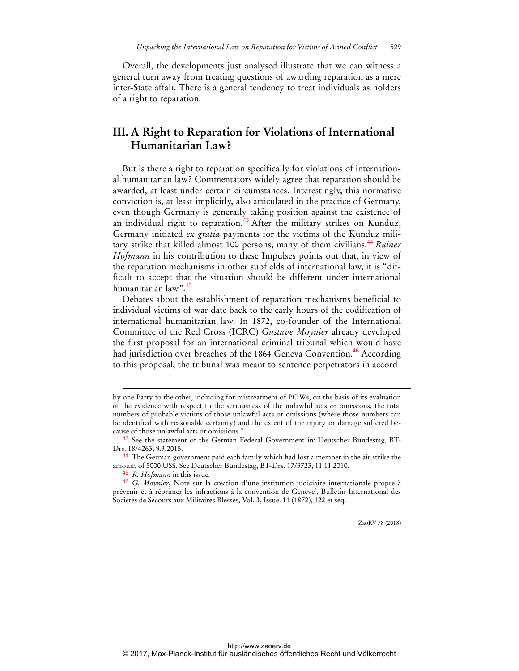Overall, the developments just analysed illustrate that we can witness a general turn away from treating questions of awarding reparation as a mere inter-State affair. There is a general tendency to treat individuals as holders of a right to reparation.

# **III. A Right to Reparation for Violations of International Humanitarian Law?**

But is there a right to reparation specifically for violations of international humanitarian law? Commentators widely agree that reparation should be awarded, at least under certain circumstances. Interestingly, this normative conviction is, at least implicitly, also articulated in the practice of Germany, even though Germany is generally taking position against the existence of an individual right to reparation.<sup>43</sup> After the military strikes on Kunduz, Germany initiated *ex gratia* payments for the victims of the Kunduz military strike that killed almost 100 persons, many of them civilians.<sup>44</sup> *Rainer Hofmann* in his contribution to these Impulses points out that, in view of the reparation mechanisms in other subfields of international law, it is "difficult to accept that the situation should be different under international humanitarian law". 45

Debates about the establishment of reparation mechanisms beneficial to individual victims of war date back to the early hours of the codification of international humanitarian law. In 1872, co-founder of the International Committee of the Red Cross (ICRC) *Gustave Moynier* already developed the first proposal for an international criminal tribunal which would have had jurisdiction over breaches of the 1864 Geneva Convention.<sup>46</sup> According to this proposal, the tribunal was meant to sentence perpetrators in accord-

 $\overline{a}$ 

by one Party to the other, including for mistreatment of POWs, on the basis of its evaluation of the evidence with respect to the seriousness of the unlawful acts or omissions, the total numbers of probable victims of those unlawful acts or omissions (where those numbers can be identified with reasonable certainty) and the extent of the injury or damage suffered because of those unlawful acts or omissions."

<sup>&</sup>lt;sup>43</sup> See the statement of the German Federal Government in: Deutscher Bundestag, BT-Drs. 18/4263, 9.3.2015.

<sup>&</sup>lt;sup>44</sup> The German government paid each family which had lost a member in the air strike the amount of 5000 US\$. See Deutscher Bundestag, BT-Drs. 17/3723, 11.11.2010.

<sup>45</sup> *R. Hofmann* in this issue.

<sup>46</sup> *G. Moynier*, Note sur la creation d'une institution judiciaire internationale propre à prévenir et à réprimer les infractions à la convention de Genève', Bulletin International des Societes de Secours aux Militaires Blesses, Vol. 3, Issue. 11 (1872), 122 et seq.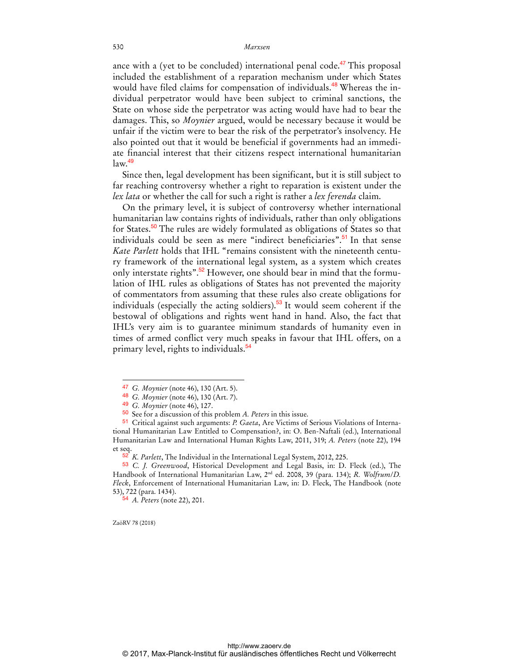ance with a (yet to be concluded) international penal code.<sup>47</sup> This proposal included the establishment of a reparation mechanism under which States would have filed claims for compensation of individuals.<sup>48</sup> Whereas the individual perpetrator would have been subject to criminal sanctions, the State on whose side the perpetrator was acting would have had to bear the damages. This, so *Moynier* argued, would be necessary because it would be unfair if the victim were to bear the risk of the perpetrator's insolvency. He also pointed out that it would be beneficial if governments had an immediate financial interest that their citizens respect international humanitarian  $law<sup>49</sup>$ 

Since then, legal development has been significant, but it is still subject to far reaching controversy whether a right to reparation is existent under the *lex lata* or whether the call for such a right is rather a *lex ferenda* claim.

On the primary level, it is subject of controversy whether international humanitarian law contains rights of individuals, rather than only obligations for States.<sup>50</sup> The rules are widely formulated as obligations of States so that individuals could be seen as mere "indirect beneficiaries".<sup>51</sup> In that sense *Kate Parlett* holds that IHL "remains consistent with the nineteenth century framework of the international legal system, as a system which creates only interstate rights".<sup>52</sup> However, one should bear in mind that the formulation of IHL rules as obligations of States has not prevented the majority of commentators from assuming that these rules also create obligations for individuals (especially the acting soldiers).<sup>53</sup> It would seem coherent if the bestowal of obligations and rights went hand in hand. Also, the fact that IHL's very aim is to guarantee minimum standards of humanity even in times of armed conflict very much speaks in favour that IHL offers, on a primary level, rights to individuals.<sup>54</sup>

52 *K. Parlett*, The Individual in the International Legal System, 2012, 225.

53 *C. J. Greenwood*, Historical Development and Legal Basis, in: D. Fleck (ed.), The Handbook of International Humanitarian Law, 2nd ed. 2008, 39 (para. 134); *R. Wolfrum*/*D. Fleck*, Enforcement of International Humanitarian Law, in: D. Fleck, The Handbook (note 53), 722 (para. 1434).

54 *A. Peters* (note 22), 201.

ZaöRV 78 (2018)

<sup>47</sup> *G. Moynier* (note 46), 130 (Art. 5).

<sup>48</sup> *G. Moynier* (note 46), 130 (Art. 7).

<sup>49</sup> *G. Moynier* (note 46), 127.

<sup>50</sup> See for a discussion of this problem *A. Peters* in this issue.

<sup>51</sup> Critical against such arguments: *P. Gaeta*, Are Victims of Serious Violations of International Humanitarian Law Entitled to Compensation?, in: O. Ben-Naftali (ed.), International Humanitarian Law and International Human Rights Law, 2011, 319; *A. Peters* (note 22), 194 et seq.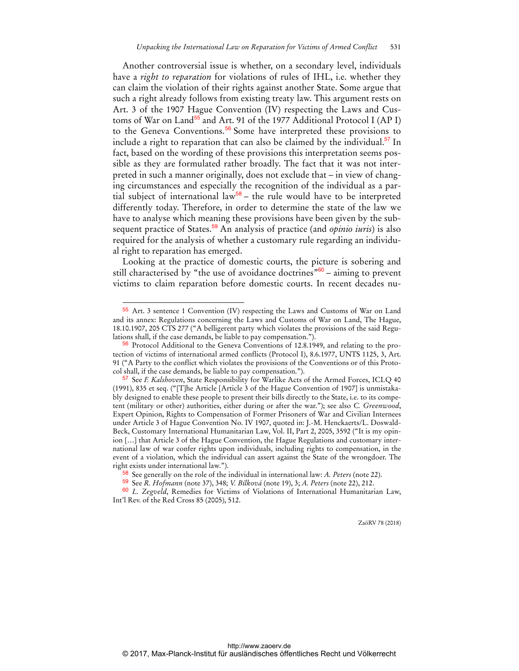Another controversial issue is whether, on a secondary level, individuals have a *right to reparation* for violations of rules of IHL, i.e. whether they can claim the violation of their rights against another State. Some argue that such a right already follows from existing treaty law. This argument rests on Art. 3 of the 1907 Hague Convention (IV) respecting the Laws and Customs of War on Land<sup>55</sup> and Art. 91 of the 1977 Additional Protocol I (AP I) to the Geneva Conventions.<sup>56</sup> Some have interpreted these provisions to include a right to reparation that can also be claimed by the individual.<sup>57</sup> In fact, based on the wording of these provisions this interpretation seems possible as they are formulated rather broadly. The fact that it was not interpreted in such a manner originally, does not exclude that – in view of changing circumstances and especially the recognition of the individual as a partial subject of international law<sup>58</sup> – the rule would have to be interpreted differently today. Therefore, in order to determine the state of the law we have to analyse which meaning these provisions have been given by the subsequent practice of States.<sup>59</sup> An analysis of practice (and *opinio iuris*) is also required for the analysis of whether a customary rule regarding an individual right to reparation has emerged.

Looking at the practice of domestic courts, the picture is sobering and still characterised by "the use of avoidance doctrines" $60 -$  aiming to prevent victims to claim reparation before domestic courts. In recent decades nu-

 $\overline{a}$ 

<sup>55</sup> Art. 3 sentence 1 Convention (IV) respecting the Laws and Customs of War on Land and its annex: Regulations concerning the Laws and Customs of War on Land, The Hague, 18.10.1907, 205 CTS 277 ("A belligerent party which violates the provisions of the said Regulations shall, if the case demands, be liable to pay compensation.").

<sup>&</sup>lt;sup>56</sup> Protocol Additional to the Geneva Conventions of 12.8.1949, and relating to the protection of victims of international armed conflicts (Protocol I), 8.6.1977, UNTS 1125, 3, Art. 91 ("A Party to the conflict which violates the provisions of the Conventions or of this Protocol shall, if the case demands, be liable to pay compensation.").

<sup>57</sup> See *F. Kalshoven*, State Responsibility for Warlike Acts of the Armed Forces, ICLQ 40 (1991), 835 et seq. ("[T]he Article [Article 3 of the Hague Convention of 1907] is unmistakably designed to enable these people to present their bills directly to the State, i.e. to its competent (military or other) authorities, either during or after the war."); see also *C. Greenwood*, Expert Opinion, Rights to Compensation of Former Prisoners of War and Civilian Internees under Article 3 of Hague Convention No. IV 1907, quoted in: J.-M. Henckaerts/L. Doswald-Beck, Customary International Humanitarian Law, Vol. II, Part 2, 2005, 3592 ("It is my opinion […] that Article 3 of the Hague Convention, the Hague Regulations and customary international law of war confer rights upon individuals, including rights to compensation, in the event of a violation, which the individual can assert against the State of the wrongdoer. The right exists under international law.").

<sup>58</sup> See generally on the role of the individual in international law: *A. Peters* (note 22).

<sup>59</sup> See *R. Hofmann* (note 37), 348; *V. Bílková* (note 19), 3; *A. Peters* (note 22), 212.

<sup>60</sup> *L. Zegveld*, Remedies for Victims of Violations of International Humanitarian Law, Int'l Rev. of the Red Cross 85 (2005), 512.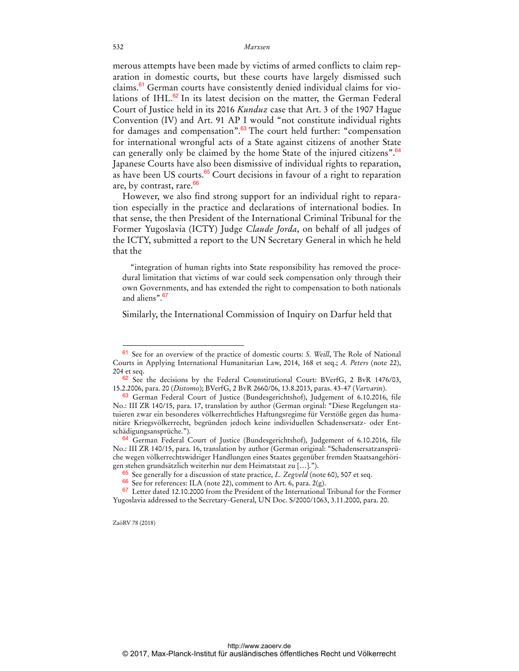merous attempts have been made by victims of armed conflicts to claim reparation in domestic courts, but these courts have largely dismissed such claims.<sup>61</sup> German courts have consistently denied individual claims for violations of IHL.<sup>62</sup> In its latest decision on the matter, the German Federal Court of Justice held in its 2016 *Kunduz* case that Art. 3 of the 1907 Hague Convention (IV) and Art. 91 AP I would "not constitute individual rights for damages and compensation".<sup>63</sup> The court held further: "compensation". for international wrongful acts of a State against citizens of another State can generally only be claimed by the home State of the injured citizens".<sup>64</sup> Japanese Courts have also been dismissive of individual rights to reparation, as have been US courts.<sup>65</sup> Court decisions in favour of a right to reparation are, by contrast, rare.<sup>66</sup>

However, we also find strong support for an individual right to reparation especially in the practice and declarations of international bodies. In that sense, the then President of the International Criminal Tribunal for the Former Yugoslavia (ICTY) Judge *Claude Jorda*, on behalf of all judges of the ICTY, submitted a report to the UN Secretary General in which he held that the

"integration of human rights into State responsibility has removed the procedural limitation that victims of war could seek compensation only through their own Governments, and has extended the right to compensation to both nationals and aliens".<sup>67</sup>

Similarly, the International Commission of Inquiry on Darfur held that

ZaöRV 78 (2018)

<sup>61</sup> See for an overview of the practice of domestic courts: *S. Weill*, The Role of National Courts in Applying International Humanitarian Law, 2014, 168 et seq.; *A. Peters* (note 22), 204 et seq.

<sup>62</sup> See the decisions by the Federal Counstitutional Court: BVerfG, 2 BvR 1476/03, 15.2.2006, para. 20 (*Distomo*); BVerfG, 2 BvR 2660/06, 13.8.2013, paras. 43-47 (*Varvarin*).

<sup>63</sup> German Federal Court of Justice (Bundesgerichtshof), Judgement of 6.10.2016, file No.: III ZR 140/15, para. 17, translation by author (German orginal: "Diese Regelungen statuieren zwar ein besonderes völkerrechtliches Haftungsregime für Verstöße gegen das humanitäre Kriegsvölkerrecht, begründen jedoch keine individuellen Schadensersatz- oder Entschädigungsansprüche.").

<sup>64</sup> German Federal Court of Justice (Bundesgerichtshof), Judgement of 6.10.2016, file No.: III ZR 140/15, para. 16, translation by author (German original: "Schadensersatzansprüche wegen völkerrechtswidriger Handlungen eines Staates gegenüber fremden Staatsangehörigen stehen grundsätzlich weiterhin nur dem Heimatstaat zu […].").

<sup>65</sup> See generally for a discussion of state practice, *L. Zegveld* (note 60), 507 et seq.

<sup>66</sup> See for references: ILA (note 22), comment to Art. 6, para. 2(g).

<sup>67</sup> Letter dated 12.10.2000 from the President of the International Tribunal for the Former Yugoslavia addressed to the Secretary-General, UN Doc. S/2000/1063, 3.11.2000, para. 20.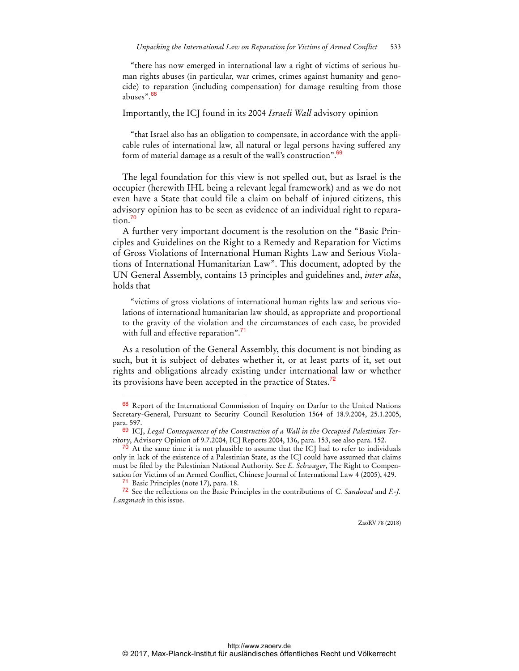"there has now emerged in international law a right of victims of serious human rights abuses (in particular, war crimes, crimes against humanity and genocide) to reparation (including compensation) for damage resulting from those abuses".<sup>68</sup>

#### Importantly, the ICJ found in its 2004 *Israeli Wall* advisory opinion

"that Israel also has an obligation to compensate, in accordance with the applicable rules of international law, all natural or legal persons having suffered any form of material damage as a result of the wall's construction".<sup>69</sup>

The legal foundation for this view is not spelled out, but as Israel is the occupier (herewith IHL being a relevant legal framework) and as we do not even have a State that could file a claim on behalf of injured citizens, this advisory opinion has to be seen as evidence of an individual right to reparation.<sup>70</sup>

A further very important document is the resolution on the "Basic Principles and Guidelines on the Right to a Remedy and Reparation for Victims of Gross Violations of International Human Rights Law and Serious Violations of International Humanitarian Law". This document, adopted by the UN General Assembly, contains 13 principles and guidelines and, *inter alia*, holds that

"victims of gross violations of international human rights law and serious violations of international humanitarian law should, as appropriate and proportional to the gravity of the violation and the circumstances of each case, be provided with full and effective reparation".<sup>11</sup>

As a resolution of the General Assembly, this document is not binding as such, but it is subject of debates whether it, or at least parts of it, set out rights and obligations already existing under international law or whether its provisions have been accepted in the practice of States.<sup>72</sup>

 $\overline{a}$ 

<sup>68</sup> Report of the International Commission of Inquiry on Darfur to the United Nations Secretary-General, Pursuant to Security Council Resolution 1564 of 18.9.2004, 25.1.2005, para. 597.

<sup>69</sup> ICJ, *Legal Consequences of the Construction of a Wall in the Occupied Palestinian Territory*, Advisory Opinion of 9.7.2004, ICJ Reports 2004, 136, para. 153, see also para. 152.

 $70$  At the same time it is not plausible to assume that the ICJ had to refer to individuals only in lack of the existence of a Palestinian State, as the ICJ could have assumed that claims must be filed by the Palestinian National Authority. See *E. Schwager*, The Right to Compensation for Victims of an Armed Conflict, Chinese Journal of International Law 4 (2005), 429.

<sup>71</sup> Basic Principles (note 17), para. 18.

<sup>72</sup> See the reflections on the Basic Principles in the contributions of *C. Sandoval* and *F.-J. Langmack* in this issue.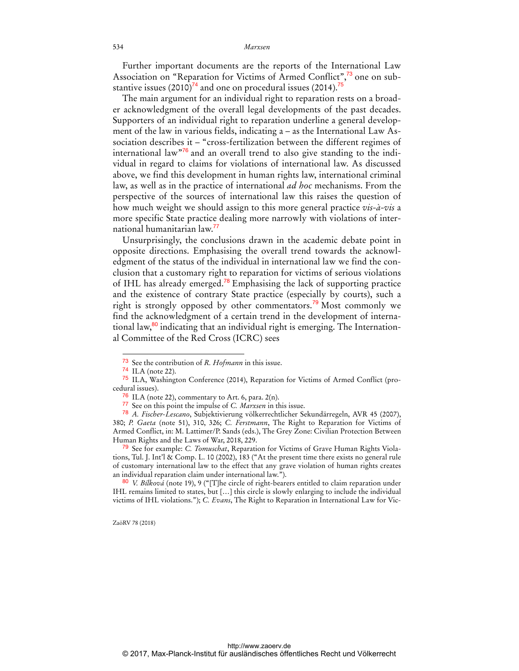Further important documents are the reports of the International Law Association on "Reparation for Victims of Armed Conflict",<sup>73</sup> one on substantive issues  $(2010)^{74}$  and one on procedural issues  $(2014).^{75}$ 

The main argument for an individual right to reparation rests on a broader acknowledgment of the overall legal developments of the past decades. Supporters of an individual right to reparation underline a general development of the law in various fields, indicating a – as the International Law Association describes it – "cross-fertilization between the different regimes of international law"76 and an overall trend to also give standing to the individual in regard to claims for violations of international law. As discussed above, we find this development in human rights law, international criminal law, as well as in the practice of international *ad hoc* mechanisms. From the perspective of the sources of international law this raises the question of how much weight we should assign to this more general practice *vis-à-vis* a more specific State practice dealing more narrowly with violations of international humanitarian law.<sup>77</sup>

Unsurprisingly, the conclusions drawn in the academic debate point in opposite directions. Emphasising the overall trend towards the acknowledgment of the status of the individual in international law we find the conclusion that a customary right to reparation for victims of serious violations of IHL has already emerged.<sup>78</sup> Emphasising the lack of supporting practice and the existence of contrary State practice (especially by courts), such a right is strongly opposed by other commentators.<sup>79</sup> Most commonly we find the acknowledgment of a certain trend in the development of international law,<sup>80</sup> indicating that an individual right is emerging. The International Committee of the Red Cross (ICRC) sees

 $\ddot{ }$ 

<sup>73</sup> See the contribution of *R. Hofmann* in this issue.

<sup>74</sup> ILA (note 22).

<sup>75</sup> ILA, Washington Conference (2014), Reparation for Victims of Armed Conflict (procedural issues).

<sup>76</sup> ILA (note 22), commentary to Art. 6, para. 2(n).

<sup>77</sup> See on this point the impulse of *C. Marxsen* in this issue.

<sup>78</sup> *A. Fischer-Lescano*, Subjektivierung völkerrechtlicher Sekundärregeln, AVR 45 (2007), 380; *P. Gaeta* (note 51), 310, 326; *C. Ferstmann*, The Right to Reparation for Victims of Armed Conflict, in: M. Lattimer/P. Sands (eds.), The Grey Zone: Civilian Protection Between Human Rights and the Laws of War, 2018, 229.

<sup>79</sup> See for example: *C. Tomuschat*, Reparation for Victims of Grave Human Rights Violations, Tul. J. Int'l & Comp. L. 10 (2002), 183 ("At the present time there exists no general rule of customary international law to the effect that any grave violation of human rights creates an individual reparation claim under international law.").

<sup>80</sup> *V. Bílková* (note 19), 9 ("[T]he circle of right-bearers entitled to claim reparation under IHL remains limited to states, but […] this circle is slowly enlarging to include the individual victims of IHL violations."); *C. Evans*, The Right to Reparation in International Law for Vic-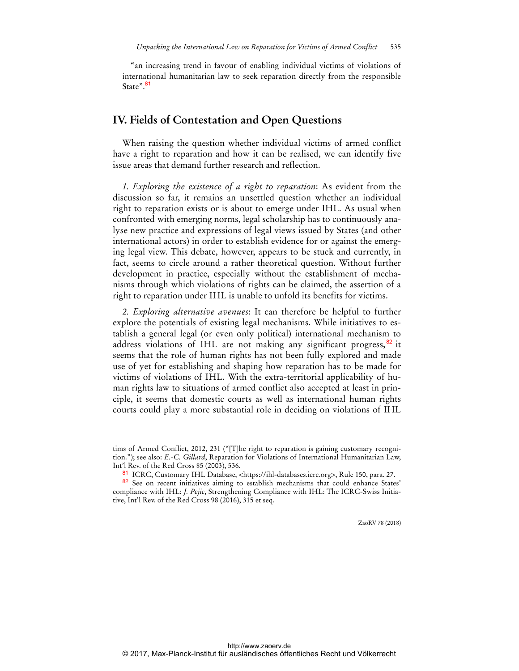"an increasing trend in favour of enabling individual victims of violations of international humanitarian law to seek reparation directly from the responsible State".<sup>81</sup>

## **IV. Fields of Contestation and Open Questions**

When raising the question whether individual victims of armed conflict have a right to reparation and how it can be realised, we can identify five issue areas that demand further research and reflection.

*1. Exploring the existence of a right to reparation*: As evident from the discussion so far, it remains an unsettled question whether an individual right to reparation exists or is about to emerge under IHL. As usual when confronted with emerging norms, legal scholarship has to continuously analyse new practice and expressions of legal views issued by States (and other international actors) in order to establish evidence for or against the emerging legal view. This debate, however, appears to be stuck and currently, in fact, seems to circle around a rather theoretical question. Without further development in practice, especially without the establishment of mechanisms through which violations of rights can be claimed, the assertion of a right to reparation under IHL is unable to unfold its benefits for victims.

*2. Exploring alternative avenues*: It can therefore be helpful to further explore the potentials of existing legal mechanisms. While initiatives to establish a general legal (or even only political) international mechanism to address violations of IHL are not making any significant progress,<sup>82</sup> it seems that the role of human rights has not been fully explored and made use of yet for establishing and shaping how reparation has to be made for victims of violations of IHL. With the extra-territorial applicability of human rights law to situations of armed conflict also accepted at least in principle, it seems that domestic courts as well as international human rights courts could play a more substantial role in deciding on violations of IHL

 $\overline{a}$ 

tims of Armed Conflict, 2012, 231 ("[T]he right to reparation is gaining customary recognition."); see also: *E.-C. Gillard*, Reparation for Violations of International Humanitarian Law, Int'l Rev. of the Red Cross 85 (2003), 536.

<sup>81</sup> ICRC, Customary IHL Database, <https://ihl-databases.icrc.org>, Rule 150, para. 27.

 $82$  See on recent initiatives aiming to establish mechanisms that could enhance States' compliance with IHL: *J. Pejic*, Strengthening Compliance with IHL: The ICRC-Swiss Initiative, Int'l Rev. of the Red Cross 98 (2016), 315 et seq.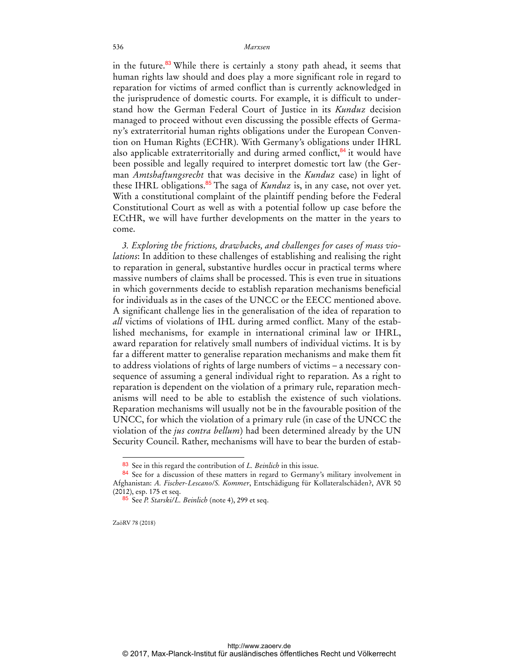in the future.<sup>83</sup> While there is certainly a stony path ahead, it seems that human rights law should and does play a more significant role in regard to reparation for victims of armed conflict than is currently acknowledged in the jurisprudence of domestic courts. For example, it is difficult to understand how the German Federal Court of Justice in its *Kunduz* decision managed to proceed without even discussing the possible effects of Germany's extraterritorial human rights obligations under the European Convention on Human Rights (ECHR). With Germany's obligations under IHRL also applicable extraterritorially and during armed conflict, $84$  it would have been possible and legally required to interpret domestic tort law (the German *Amtshaftungsrecht* that was decisive in the *Kunduz* case) in light of these IHRL obligations.<sup>85</sup> The saga of *Kunduz* is, in any case, not over yet. With a constitutional complaint of the plaintiff pending before the Federal Constitutional Court as well as with a potential follow up case before the ECtHR, we will have further developments on the matter in the years to come.

*3. Exploring the frictions, drawbacks, and challenges for cases of mass violations*: In addition to these challenges of establishing and realising the right to reparation in general, substantive hurdles occur in practical terms where massive numbers of claims shall be processed. This is even true in situations in which governments decide to establish reparation mechanisms beneficial for individuals as in the cases of the UNCC or the EECC mentioned above. A significant challenge lies in the generalisation of the idea of reparation to *all* victims of violations of IHL during armed conflict. Many of the established mechanisms, for example in international criminal law or IHRL, award reparation for relatively small numbers of individual victims. It is by far a different matter to generalise reparation mechanisms and make them fit to address violations of rights of large numbers of victims – a necessary consequence of assuming a general individual right to reparation. As a right to reparation is dependent on the violation of a primary rule, reparation mechanisms will need to be able to establish the existence of such violations. Reparation mechanisms will usually not be in the favourable position of the UNCC, for which the violation of a primary rule (in case of the UNCC the violation of the *jus contra bellum*) had been determined already by the UN Security Council. Rather, mechanisms will have to bear the burden of estab-

ZaöRV 78 (2018)

<sup>83</sup> See in this regard the contribution of *L. Beinlich* in this issue.

<sup>84</sup> See for a discussion of these matters in regard to Germany's military involvement in Afghanistan: *A. Fischer-Lescano*/*S. Kommer*, Entschädigung für Kollateralschäden?, AVR 50 (2012), esp. 175 et seq.

<sup>85</sup> See *P. Starski/L. Beinlich* (note 4), 299 et seq.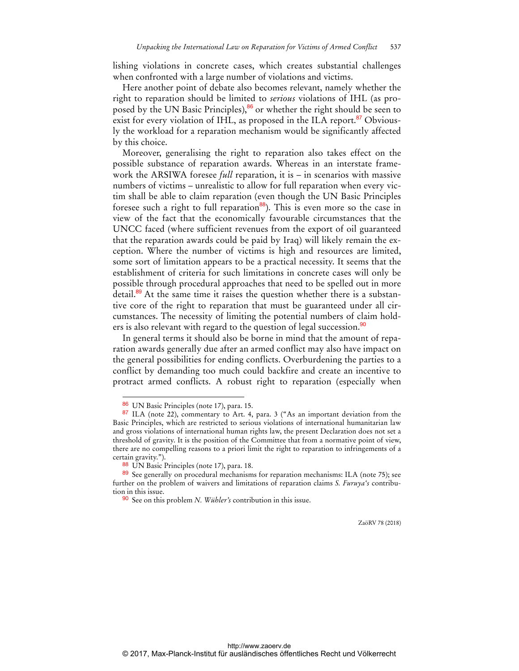lishing violations in concrete cases, which creates substantial challenges when confronted with a large number of violations and victims.

Here another point of debate also becomes relevant, namely whether the right to reparation should be limited to *serious* violations of IHL (as proposed by the UN Basic Principles), $\frac{86}{6}$  or whether the right should be seen to exist for every violation of IHL, as proposed in the ILA report.<sup>87</sup> Obviously the workload for a reparation mechanism would be significantly affected by this choice.

Moreover, generalising the right to reparation also takes effect on the possible substance of reparation awards. Whereas in an interstate framework the ARSIWA foresee *full* reparation, it is – in scenarios with massive numbers of victims – unrealistic to allow for full reparation when every victim shall be able to claim reparation (even though the UN Basic Principles foresee such a right to full reparation<sup>88</sup>). This is even more so the case in view of the fact that the economically favourable circumstances that the UNCC faced (where sufficient revenues from the export of oil guaranteed that the reparation awards could be paid by Iraq) will likely remain the exception. Where the number of victims is high and resources are limited, some sort of limitation appears to be a practical necessity. It seems that the establishment of criteria for such limitations in concrete cases will only be possible through procedural approaches that need to be spelled out in more detail.<sup>89</sup> At the same time it raises the question whether there is a substantive core of the right to reparation that must be guaranteed under all circumstances. The necessity of limiting the potential numbers of claim holders is also relevant with regard to the question of legal succession.<sup>90</sup>

In general terms it should also be borne in mind that the amount of reparation awards generally due after an armed conflict may also have impact on the general possibilities for ending conflicts. Overburdening the parties to a conflict by demanding too much could backfire and create an incentive to protract armed conflicts. A robust right to reparation (especially when

 $\overline{a}$ 

<sup>86</sup> UN Basic Principles (note 17), para. 15.

<sup>87</sup> ILA (note 22), commentary to Art. 4, para. 3 ("As an important deviation from the Basic Principles, which are restricted to serious violations of international humanitarian law and gross violations of international human rights law, the present Declaration does not set a threshold of gravity. It is the position of the Committee that from a normative point of view, there are no compelling reasons to a priori limit the right to reparation to infringements of a certain gravity.").

<sup>88</sup> UN Basic Principles (note 17), para. 18.

<sup>89</sup> See generally on procedural mechanisms for reparation mechanisms: ILA (note 75); see further on the problem of waivers and limitations of reparation claims *S. Furuya's* contribution in this issue.

<sup>90</sup> See on this problem *N. Wühler's* contribution in this issue.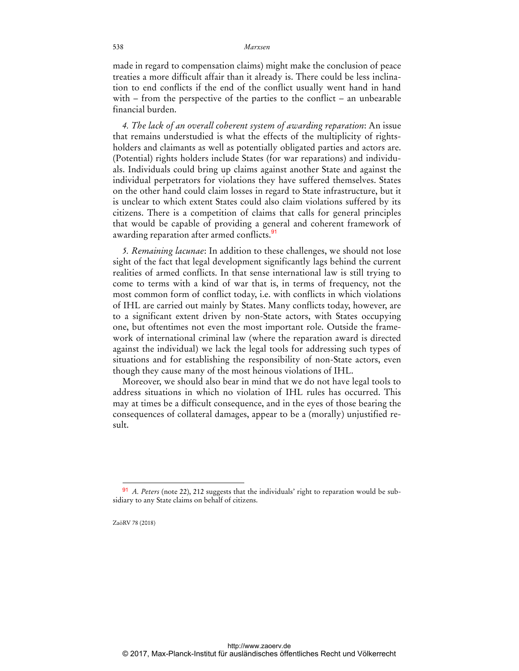made in regard to compensation claims) might make the conclusion of peace treaties a more difficult affair than it already is. There could be less inclination to end conflicts if the end of the conflict usually went hand in hand with – from the perspective of the parties to the conflict – an unbearable financial burden.

*4. The lack of an overall coherent system of awarding reparation*: An issue that remains understudied is what the effects of the multiplicity of rightsholders and claimants as well as potentially obligated parties and actors are. (Potential) rights holders include States (for war reparations) and individuals. Individuals could bring up claims against another State and against the individual perpetrators for violations they have suffered themselves. States on the other hand could claim losses in regard to State infrastructure, but it is unclear to which extent States could also claim violations suffered by its citizens. There is a competition of claims that calls for general principles that would be capable of providing a general and coherent framework of awarding reparation after armed conflicts.<sup>91</sup>

*5. Remaining lacunae*: In addition to these challenges, we should not lose sight of the fact that legal development significantly lags behind the current realities of armed conflicts. In that sense international law is still trying to come to terms with a kind of war that is, in terms of frequency, not the most common form of conflict today, i.e. with conflicts in which violations of IHL are carried out mainly by States. Many conflicts today, however, are to a significant extent driven by non-State actors, with States occupying one, but oftentimes not even the most important role. Outside the framework of international criminal law (where the reparation award is directed against the individual) we lack the legal tools for addressing such types of situations and for establishing the responsibility of non-State actors, even though they cause many of the most heinous violations of IHL.

Moreover, we should also bear in mind that we do not have legal tools to address situations in which no violation of IHL rules has occurred. This may at times be a difficult consequence, and in the eyes of those bearing the consequences of collateral damages, appear to be a (morally) unjustified result.

ZaöRV 78 (2018)

 $\ddot{ }$ 

<sup>91</sup> *A. Peters* (note 22), 212 suggests that the individuals' right to reparation would be subsidiary to any State claims on behalf of citizens.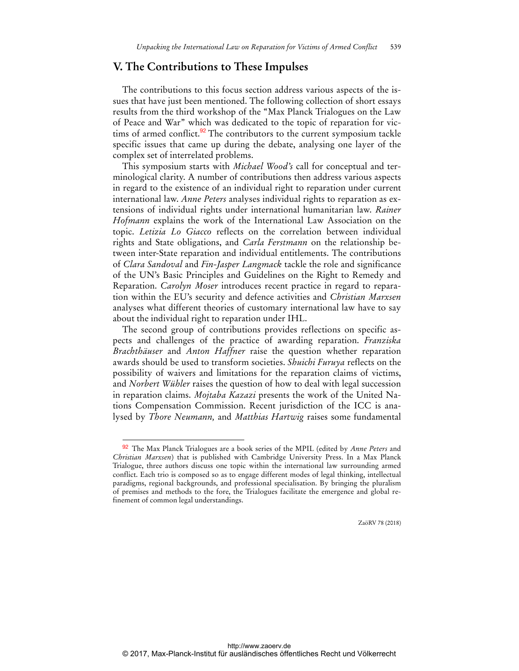### **V. The Contributions to These Impulses**

The contributions to this focus section address various aspects of the issues that have just been mentioned. The following collection of short essays results from the third workshop of the "Max Planck Trialogues on the Law of Peace and War" which was dedicated to the topic of reparation for victims of armed conflict.<sup>92</sup> The contributors to the current symposium tackle specific issues that came up during the debate, analysing one layer of the complex set of interrelated problems.

This symposium starts with *Michael Wood's* call for conceptual and terminological clarity. A number of contributions then address various aspects in regard to the existence of an individual right to reparation under current international law. *Anne Peters* analyses individual rights to reparation as extensions of individual rights under international humanitarian law. *Rainer Hofmann* explains the work of the International Law Association on the topic. *Letizia Lo Giacco* reflects on the correlation between individual rights and State obligations, and *Carla Ferstmann* on the relationship between inter-State reparation and individual entitlements. The contributions of *Clara Sandoval* and *Fin-Jasper Langmack* tackle the role and significance of the UN's Basic Principles and Guidelines on the Right to Remedy and Reparation. *Carolyn Moser* introduces recent practice in regard to reparation within the EU's security and defence activities and *Christian Marxsen* analyses what different theories of customary international law have to say about the individual right to reparation under IHL.

The second group of contributions provides reflections on specific aspects and challenges of the practice of awarding reparation. *Franziska Brachthäuser* and *Anton Haffner* raise the question whether reparation awards should be used to transform societies. *Shuichi Furuya* reflects on the possibility of waivers and limitations for the reparation claims of victims, and *Norbert Wühler* raises the question of how to deal with legal succession in reparation claims. *Mojtaba Kazazi* presents the work of the United Nations Compensation Commission. Recent jurisdiction of the ICC is analysed by *Thore Neumann,* and *Matthias Hartwig* raises some fundamental

 $\overline{a}$ 

<sup>92</sup> The Max Planck Trialogues are a book series of the MPIL (edited by *Anne Peters* and *Christian Marxsen*) that is published with Cambridge University Press. In a Max Planck Trialogue, three authors discuss one topic within the international law surrounding armed conflict. Each trio is composed so as to engage different modes of legal thinking, intellectual paradigms, regional backgrounds, and professional specialisation. By bringing the pluralism of premises and methods to the fore, the Trialogues facilitate the emergence and global refinement of common legal understandings.